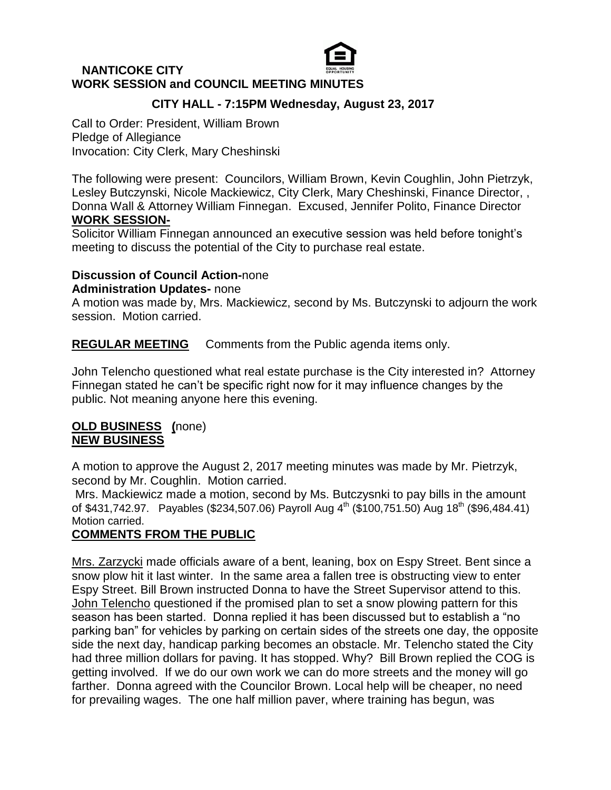# **NANTICOKE CITY WORK SESSION and COUNCIL MEETING MINUTES**

# **CITY HALL - 7:15PM Wednesday, August 23, 2017**

Call to Order: President, William Brown Pledge of Allegiance Invocation: City Clerk, Mary Cheshinski

The following were present: Councilors, William Brown, Kevin Coughlin, John Pietrzyk, Lesley Butczynski, Nicole Mackiewicz, City Clerk, Mary Cheshinski, Finance Director, , Donna Wall & Attorney William Finnegan. Excused, Jennifer Polito, Finance Director **WORK SESSION-**

Solicitor William Finnegan announced an executive session was held before tonight's meeting to discuss the potential of the City to purchase real estate.

### **Discussion of Council Action-**none

### **Administration Updates-** none

A motion was made by, Mrs. Mackiewicz, second by Ms. Butczynski to adjourn the work session. Motion carried.

**REGULAR MEETING** Comments from the Public agenda items only.

John Telencho questioned what real estate purchase is the City interested in? Attorney Finnegan stated he can't be specific right now for it may influence changes by the public. Not meaning anyone here this evening.

### **OLD BUSINESS (**none) **NEW BUSINESS**

A motion to approve the August 2, 2017 meeting minutes was made by Mr. Pietrzyk, second by Mr. Coughlin. Motion carried.

Mrs. Mackiewicz made a motion, second by Ms. Butczysnki to pay bills in the amount of \$431,742.97. Payables (\$234,507.06) Payroll Aug  $4^{\text{th}}$  (\$100,751.50) Aug 18<sup>th</sup> (\$96,484.41) Motion carried.

# **COMMENTS FROM THE PUBLIC**

Mrs. Zarzycki made officials aware of a bent, leaning, box on Espy Street. Bent since a snow plow hit it last winter. In the same area a fallen tree is obstructing view to enter Espy Street. Bill Brown instructed Donna to have the Street Supervisor attend to this. John Telencho questioned if the promised plan to set a snow plowing pattern for this season has been started. Donna replied it has been discussed but to establish a "no parking ban" for vehicles by parking on certain sides of the streets one day, the opposite side the next day, handicap parking becomes an obstacle. Mr. Telencho stated the City had three million dollars for paving. It has stopped. Why? Bill Brown replied the COG is getting involved. If we do our own work we can do more streets and the money will go farther. Donna agreed with the Councilor Brown. Local help will be cheaper, no need for prevailing wages. The one half million paver, where training has begun, was